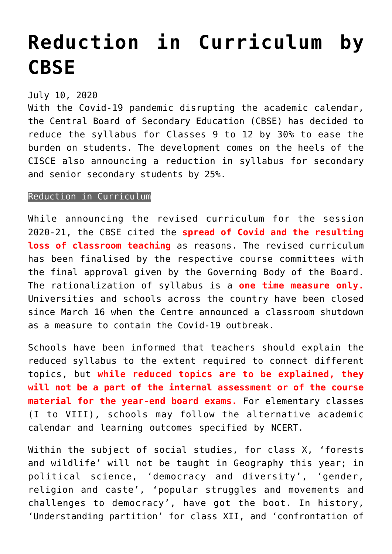## **[Reduction in Curriculum by](https://journalsofindia.com/reduction-in-curriculum-by-cbse/) [CBSE](https://journalsofindia.com/reduction-in-curriculum-by-cbse/)**

## July 10, 2020

With the Covid-19 pandemic disrupting the academic calendar, the Central Board of Secondary Education (CBSE) has decided to reduce the syllabus for Classes 9 to 12 by 30% to ease the burden on students. The development comes on the heels of the CISCE also announcing a reduction in syllabus for secondary and senior secondary students by 25%.

## Reduction in Curriculum

While announcing the revised curriculum for the session 2020-21, the CBSE cited the **spread of Covid and the resulting loss of classroom teaching** as reasons. The revised curriculum has been finalised by the respective course committees with the final approval given by the Governing Body of the Board. The rationalization of syllabus is a **one time measure only.** Universities and schools across the country have been closed since March 16 when the Centre announced a classroom shutdown as a measure to contain the Covid-19 outbreak.

Schools have been informed that teachers should explain the reduced syllabus to the extent required to connect different topics, but **while reduced topics are to be explained, they will not be a part of the internal assessment or of the course material for the year-end board exams.** For elementary classes (I to VIII), schools may follow the alternative academic calendar and learning outcomes specified by NCERT.

Within the subject of social studies, for class X, 'forests and wildlife' will not be taught in Geography this year; in political science, 'democracy and diversity', 'gender, religion and caste', 'popular struggles and movements and challenges to democracy', have got the boot. In history, 'Understanding partition' for class XII, and 'confrontation of